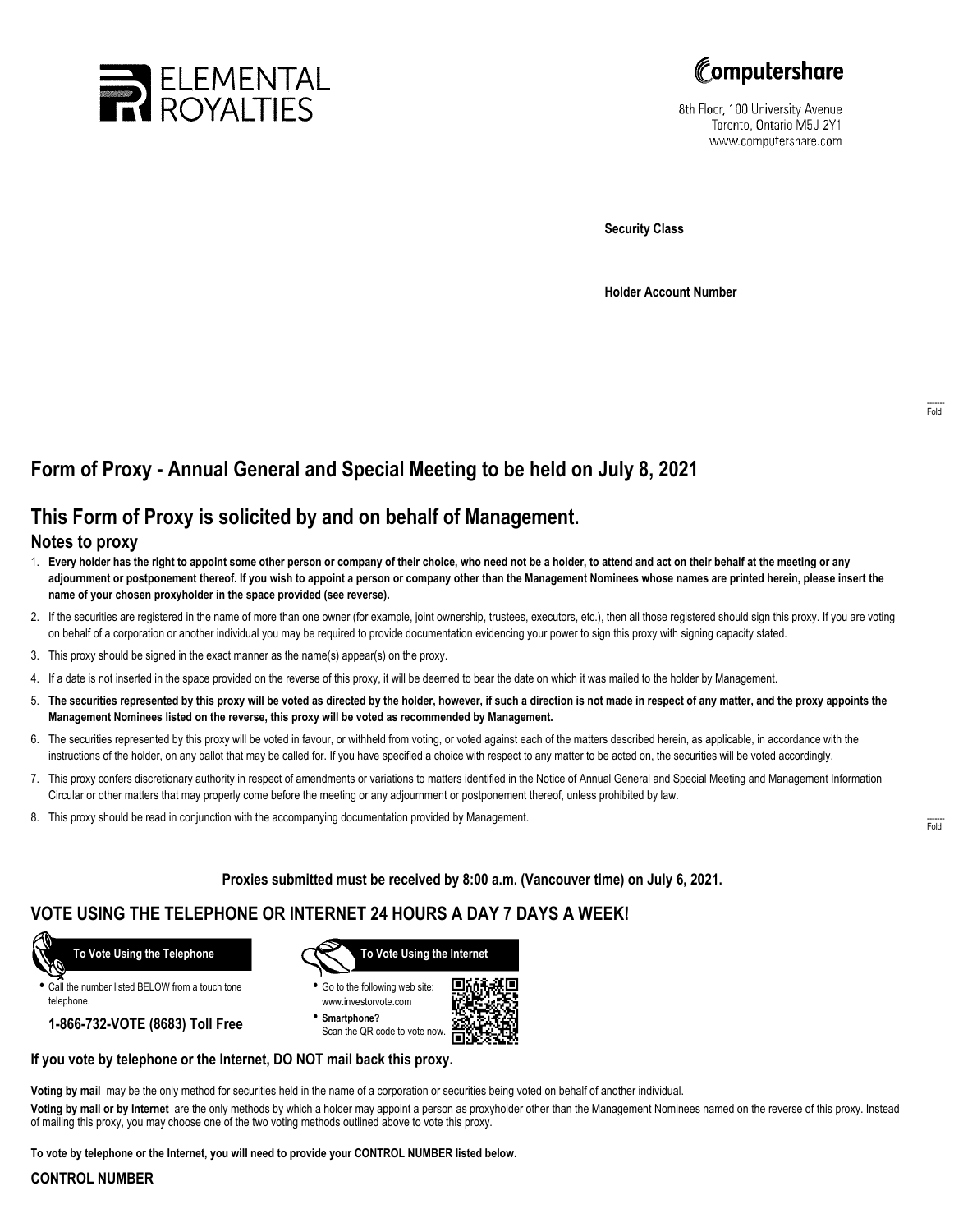



8th Floor, 100 University Avenue Toronto, Ontario M5J 2Y1 www.computershare.com

**Security Class**

**Holder Account Number**

# **Form of Proxy - Annual General and Special Meeting to be held on July 8, 2021**

## **This Form of Proxy is solicited by and on behalf of Management.**

### **Notes to proxy**

- 1. **Every holder has the right to appoint some other person or company of their choice, who need not be a holder, to attend and act on their behalf at the meeting or any adjournment or postponement thereof. If you wish to appoint a person or company other than the Management Nominees whose names are printed herein, please insert the name of your chosen proxyholder in the space provided (see reverse).**
- 2. If the securities are registered in the name of more than one owner (for example, joint ownership, trustees, executors, etc.), then all those registered should sign this proxy. If you are voting on behalf of a corporation or another individual you may be required to provide documentation evidencing your power to sign this proxy with signing capacity stated.
- 3. This proxy should be signed in the exact manner as the name(s) appear(s) on the proxy.
- 4. If a date is not inserted in the space provided on the reverse of this proxy, it will be deemed to bear the date on which it was mailed to the holder by Management.
- 5. **The securities represented by this proxy will be voted as directed by the holder, however, if such a direction is not made in respect of any matter, and the proxy appoints the Management Nominees listed on the reverse, this proxy will be voted as recommended by Management.**
- 6. The securities represented by this proxy will be voted in favour, or withheld from voting, or voted against each of the matters described herein, as applicable, in accordance with the instructions of the holder, on any ballot that may be called for. If you have specified a choice with respect to any matter to be acted on, the securities will be voted accordingly.
- 7. This proxy confers discretionary authority in respect of amendments or variations to matters identified in the Notice of Annual General and Special Meeting and Management Information Circular or other matters that may properly come before the meeting or any adjournment or postponement thereof, unless prohibited by law.
- 8. This proxy should be read in conjunction with the accompanying documentation provided by Management.

**Proxies submitted must be received by 8:00 a.m. (Vancouver time) on July 6, 2021.**

### **VOTE USING THE TELEPHONE OR INTERNET 24 HOURS A DAY 7 DAYS A WEEK!**



**•** Call the number listed BELOW from a touch tone telephone.

**1-866-732-VOTE (8683) Toll Free**



**•** Go to the following web site: www.investorvote.com

**• Smartphone?** Scan the QR code to vote now.



#### **If you vote by telephone or the Internet, DO NOT mail back this proxy.**

**Voting by mail** may be the only method for securities held in the name of a corporation or securities being voted on behalf of another individual.

**Voting by mail or by Internet** are the only methods by which a holder may appoint a person as proxyholder other than the Management Nominees named on the reverse of this proxy. Instead of mailing this proxy, you may choose one of the two voting methods outlined above to vote this proxy.

**To vote by telephone or the Internet, you will need to provide your CONTROL NUMBER listed below.**

#### **CONTROL NUMBER**